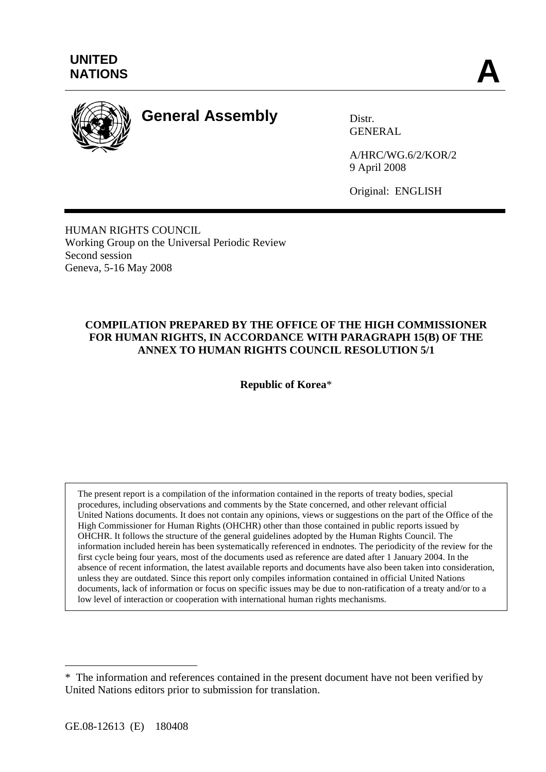

# **General Assembly** Distr.

GENERAL

A/HRC/WG.6/2/KOR/2 9 April 2008

Original: ENGLISH

HUMAN RIGHTS COUNCIL Working Group on the Universal Periodic Review Second session Geneva, 5-16 May 2008

## **COMPILATION PREPARED BY THE OFFICE OF THE HIGH COMMISSIONER FOR HUMAN RIGHTS, IN ACCORDANCE WITH PARAGRAPH 15(B) OF THE ANNEX TO HUMAN RIGHTS COUNCIL RESOLUTION 5/1**

**Republic of Korea**\*

The present report is a compilation of the information contained in the reports of treaty bodies, special procedures, including observations and comments by the State concerned, and other relevant official United Nations documents. It does not contain any opinions, views or suggestions on the part of the Office of the High Commissioner for Human Rights (OHCHR) other than those contained in public reports issued by OHCHR. It follows the structure of the general guidelines adopted by the Human Rights Council. The information included herein has been systematically referenced in endnotes. The periodicity of the review for the first cycle being four years, most of the documents used as reference are dated after 1 January 2004. In the absence of recent information, the latest available reports and documents have also been taken into consideration, unless they are outdated. Since this report only compiles information contained in official United Nations documents, lack of information or focus on specific issues may be due to non-ratification of a treaty and/or to a low level of interaction or cooperation with international human rights mechanisms.

 $\overline{a}$ 

<sup>\*</sup>The information and references contained in the present document have not been verified by United Nations editors prior to submission for translation.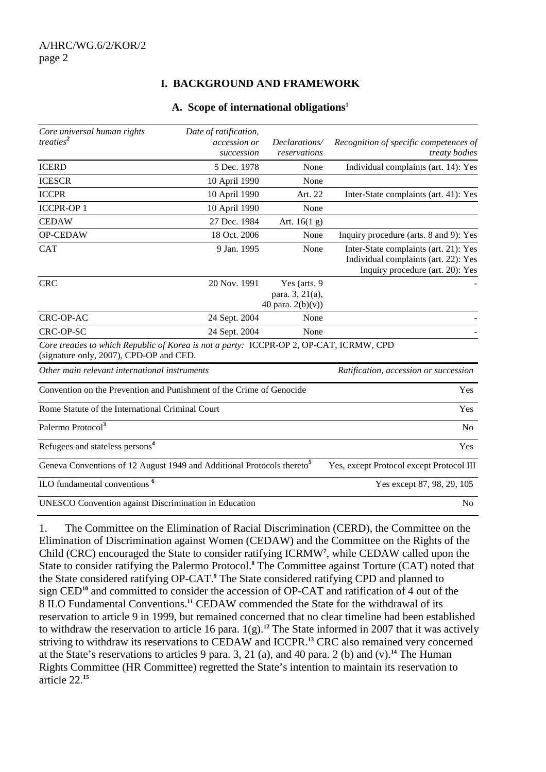## **I. BACKGROUND AND FRAMEWORK**

#### **A. Scope of international obligations1**

| Core universal human rights<br>treaties <sup>2</sup>                                                                               | Date of ratification,<br>accession or<br>succession | Declarations/<br>reservations                         | Recognition of specific competences of<br>treaty bodies                                                           |
|------------------------------------------------------------------------------------------------------------------------------------|-----------------------------------------------------|-------------------------------------------------------|-------------------------------------------------------------------------------------------------------------------|
| <b>ICERD</b>                                                                                                                       | 5 Dec. 1978                                         | None                                                  | Individual complaints (art. 14): Yes                                                                              |
| <b>ICESCR</b>                                                                                                                      | 10 April 1990                                       | None                                                  |                                                                                                                   |
| <b>ICCPR</b>                                                                                                                       | 10 April 1990                                       | Art. 22                                               | Inter-State complaints (art. 41): Yes                                                                             |
| <b>ICCPR-OP1</b>                                                                                                                   | 10 April 1990                                       | None                                                  |                                                                                                                   |
| <b>CEDAW</b>                                                                                                                       | 27 Dec. 1984                                        | Art. $16(1 g)$                                        |                                                                                                                   |
| OP-CEDAW                                                                                                                           | 18 Oct. 2006                                        | None                                                  | Inquiry procedure (arts. 8 and 9): Yes                                                                            |
| <b>CAT</b>                                                                                                                         | 9 Jan. 1995                                         | None                                                  | Inter-State complaints (art. 21): Yes<br>Individual complaints (art. 22): Yes<br>Inquiry procedure (art. 20): Yes |
| <b>CRC</b>                                                                                                                         | 20 Nov. 1991                                        | Yes (arts. 9<br>para. 3, 21(a),<br>40 para. $2(b)(v)$ |                                                                                                                   |
| CRC-OP-AC                                                                                                                          | 24 Sept. 2004                                       | None                                                  |                                                                                                                   |
| CRC-OP-SC                                                                                                                          | 24 Sept. 2004                                       | None                                                  |                                                                                                                   |
| Core treaties to which Republic of Korea is not a party: ICCPR-OP 2, OP-CAT, ICRMW, CPD<br>(signature only, 2007), CPD-OP and CED. |                                                     |                                                       |                                                                                                                   |
| Other main relevant international instruments                                                                                      |                                                     | Ratification, accession or succession                 |                                                                                                                   |
| Convention on the Prevention and Punishment of the Crime of Genocide                                                               |                                                     |                                                       | Yes                                                                                                               |
| Rome Statute of the International Criminal Court                                                                                   |                                                     |                                                       | <b>Yes</b>                                                                                                        |
| Palermo Protocol <sup>3</sup>                                                                                                      |                                                     |                                                       | No                                                                                                                |
| Refugees and stateless persons <sup>4</sup>                                                                                        |                                                     |                                                       | Yes                                                                                                               |
| Geneva Conventions of 12 August 1949 and Additional Protocols thereto <sup>5</sup>                                                 |                                                     |                                                       | Yes, except Protocol except Protocol III                                                                          |
| ILO fundamental conventions <sup>6</sup>                                                                                           |                                                     | Yes except 87, 98, 29, 105                            |                                                                                                                   |
| UNESCO Convention against Discrimination in Education                                                                              |                                                     |                                                       | N <sub>0</sub>                                                                                                    |

1. The Committee on the Elimination of Racial Discrimination (CERD), the Committee on the Elimination of Discrimination against Women (CEDAW) and the Committee on the Rights of the Child (CRC) encouraged the State to consider ratifying ICRMW**<sup>7</sup>** , while CEDAW called upon the State to consider ratifying the Palermo Protocol.<sup>8</sup> The Committee against Torture (CAT) noted that the State considered ratifying OP-CAT.**<sup>9</sup>** The State considered ratifying CPD and planned to sign CED**<sup>10</sup>** and committed to consider the accession of OP-CAT and ratification of 4 out of the 8 ILO Fundamental Conventions.**<sup>11</sup>** CEDAW commended the State for the withdrawal of its reservation to article 9 in 1999, but remained concerned that no clear timeline had been established to withdraw the reservation to article 16 para. 1(g).**<sup>12</sup>** The State informed in 2007 that it was actively striving to withdraw its reservations to CEDAW and ICCPR.**<sup>13</sup>** CRC also remained very concerned at the State's reservations to articles 9 para. 3, 21 (a), and 40 para. 2 (b) and (v).**<sup>14</sup>** The Human Rights Committee (HR Committee) regretted the State's intention to maintain its reservation to article 22.**15**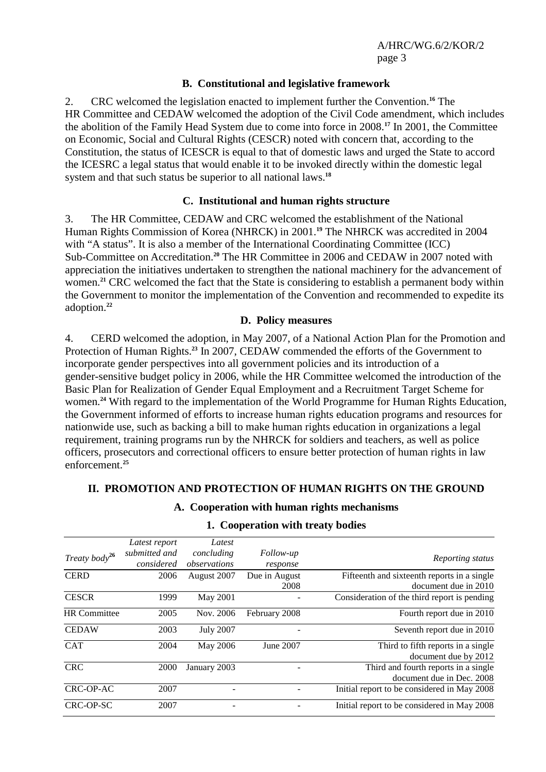#### **B. Constitutional and legislative framework**

2. CRC welcomed the legislation enacted to implement further the Convention.**<sup>16</sup>** The HR Committee and CEDAW welcomed the adoption of the Civil Code amendment, which includes the abolition of the Family Head System due to come into force in 2008.**<sup>17</sup>** In 2001, the Committee on Economic, Social and Cultural Rights (CESCR) noted with concern that, according to the Constitution, the status of ICESCR is equal to that of domestic laws and urged the State to accord the ICESRC a legal status that would enable it to be invoked directly within the domestic legal system and that such status be superior to all national laws.**<sup>18</sup>**

#### **C. Institutional and human rights structure**

3. The HR Committee, CEDAW and CRC welcomed the establishment of the National Human Rights Commission of Korea (NHRCK) in 2001.**<sup>19</sup>** The NHRCK was accredited in 2004 with "A status". It is also a member of the International Coordinating Committee (ICC) Sub-Committee on Accreditation.**<sup>20</sup>** The HR Committee in 2006 and CEDAW in 2007 noted with appreciation the initiatives undertaken to strengthen the national machinery for the advancement of women.**<sup>21</sup>** CRC welcomed the fact that the State is considering to establish a permanent body within the Government to monitor the implementation of the Convention and recommended to expedite its adoption.**<sup>22</sup>**

#### **D. Policy measures**

4. CERD welcomed the adoption, in May 2007, of a National Action Plan for the Promotion and Protection of Human Rights.**<sup>23</sup>** In 2007, CEDAW commended the efforts of the Government to incorporate gender perspectives into all government policies and its introduction of a gender-sensitive budget policy in 2006, while the HR Committee welcomed the introduction of the Basic Plan for Realization of Gender Equal Employment and a Recruitment Target Scheme for women.**<sup>24</sup>** With regard to the implementation of the World Programme for Human Rights Education, the Government informed of efforts to increase human rights education programs and resources for nationwide use, such as backing a bill to make human rights education in organizations a legal requirement, training programs run by the NHRCK for soldiers and teachers, as well as police officers, prosecutors and correctional officers to ensure better protection of human rights in law enforcement.**<sup>25</sup>**

#### **II. PROMOTION AND PROTECTION OF HUMAN RIGHTS ON THE GROUND**

| Treaty body $2^6$   | Latest report<br>submitted and<br>considered | Latest<br>concluding<br>observations | Follow-up<br>response | Reporting status                                                    |
|---------------------|----------------------------------------------|--------------------------------------|-----------------------|---------------------------------------------------------------------|
| <b>CERD</b>         | 2006                                         | August 2007                          | Due in August<br>2008 | Fifteenth and sixteenth reports in a single<br>document due in 2010 |
| <b>CESCR</b>        | 1999                                         | May 2001                             |                       | Consideration of the third report is pending                        |
| <b>HR</b> Committee | 2005                                         | Nov. 2006                            | February 2008         | Fourth report due in 2010                                           |
| <b>CEDAW</b>        | 2003                                         | <b>July 2007</b>                     |                       | Seventh report due in 2010                                          |
| <b>CAT</b>          | 2004                                         | May 2006                             | June 2007             | Third to fifth reports in a single<br>document due by 2012          |
| <b>CRC</b>          | 2000                                         | January 2003                         |                       | Third and fourth reports in a single<br>document due in Dec. 2008   |
| CRC-OP-AC           | 2007                                         |                                      |                       | Initial report to be considered in May 2008                         |
| CRC-OP-SC           | 2007                                         | ۰                                    |                       | Initial report to be considered in May 2008                         |

# **A. Cooperation with human rights mechanisms**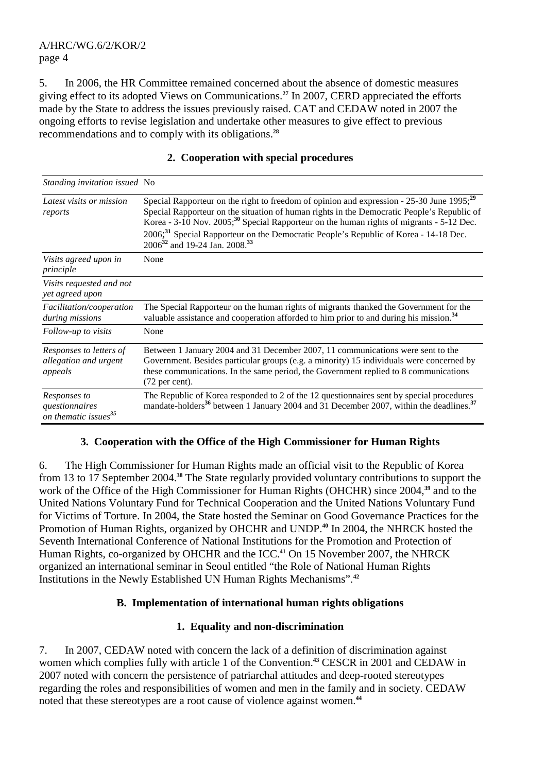5. In 2006, the HR Committee remained concerned about the absence of domestic measures giving effect to its adopted Views on Communications.**<sup>27</sup>** In 2007, CERD appreciated the efforts made by the State to address the issues previously raised. CAT and CEDAW noted in 2007 the ongoing efforts to revise legislation and undertake other measures to give effect to previous recommendations and to comply with its obligations.**<sup>28</sup>**

| <i>Standing invitation issued</i> No                               |                                                                                                                                                                                                                                                                                                                                                                                                                                                                          |
|--------------------------------------------------------------------|--------------------------------------------------------------------------------------------------------------------------------------------------------------------------------------------------------------------------------------------------------------------------------------------------------------------------------------------------------------------------------------------------------------------------------------------------------------------------|
| Latest visits or mission<br>reports                                | Special Rapporteur on the right to freedom of opinion and expression - 25-30 June 1995; <sup>29</sup><br>Special Rapporteur on the situation of human rights in the Democratic People's Republic of<br>Korea - 3-10 Nov. 2005; <sup>30</sup> Special Rapporteur on the human rights of migrants - 5-12 Dec.<br>2006; <sup>31</sup> Special Rapporteur on the Democratic People's Republic of Korea - 14-18 Dec.<br>2006 <sup>32</sup> and 19-24 Jan. 2008. <sup>33</sup> |
| Visits agreed upon in<br>principle                                 | None                                                                                                                                                                                                                                                                                                                                                                                                                                                                     |
| Visits requested and not<br>yet agreed upon                        |                                                                                                                                                                                                                                                                                                                                                                                                                                                                          |
| Facilitation/cooperation<br>during missions                        | The Special Rapporteur on the human rights of migrants thanked the Government for the<br>valuable assistance and cooperation afforded to him prior to and during his mission. <sup>34</sup>                                                                                                                                                                                                                                                                              |
| Follow-up to visits                                                | None                                                                                                                                                                                                                                                                                                                                                                                                                                                                     |
| Responses to letters of<br>allegation and urgent<br>appeals        | Between 1 January 2004 and 31 December 2007, 11 communications were sent to the<br>Government. Besides particular groups (e.g. a minority) 15 individuals were concerned by<br>these communications. In the same period, the Government replied to 8 communications<br>(72 per cent).                                                                                                                                                                                    |
| Responses to<br>questionnaires<br>on thematic issues <sup>35</sup> | The Republic of Korea responded to 2 of the 12 questionnaires sent by special procedures<br>mandate-holders <sup>36</sup> between 1 January 2004 and 31 December 2007, within the deadlines. <sup>37</sup>                                                                                                                                                                                                                                                               |

# **2. Cooperation with special procedures**

# **3. Cooperation with the Office of the High Commissioner for Human Rights**

6. The High Commissioner for Human Rights made an official visit to the Republic of Korea from 13 to 17 September 2004.**<sup>38</sup>** The State regularly provided voluntary contributions to support the work of the Office of the High Commissioner for Human Rights (OHCHR) since 2004,**<sup>39</sup>** and to the United Nations Voluntary Fund for Technical Cooperation and the United Nations Voluntary Fund for Victims of Torture. In 2004, the State hosted the Seminar on Good Governance Practices for the Promotion of Human Rights, organized by OHCHR and UNDP.**<sup>40</sup>** In 2004, the NHRCK hosted the Seventh International Conference of National Institutions for the Promotion and Protection of Human Rights, co-organized by OHCHR and the ICC.**<sup>41</sup>** On 15 November 2007, the NHRCK organized an international seminar in Seoul entitled "the Role of National Human Rights Institutions in the Newly Established UN Human Rights Mechanisms".**<sup>42</sup>**

# **B. Implementation of international human rights obligations**

#### **1. Equality and non-discrimination**

7. In 2007, CEDAW noted with concern the lack of a definition of discrimination against women which complies fully with article 1 of the Convention.**<sup>43</sup>** CESCR in 2001 and CEDAW in 2007 noted with concern the persistence of patriarchal attitudes and deep-rooted stereotypes regarding the roles and responsibilities of women and men in the family and in society. CEDAW noted that these stereotypes are a root cause of violence against women.**44**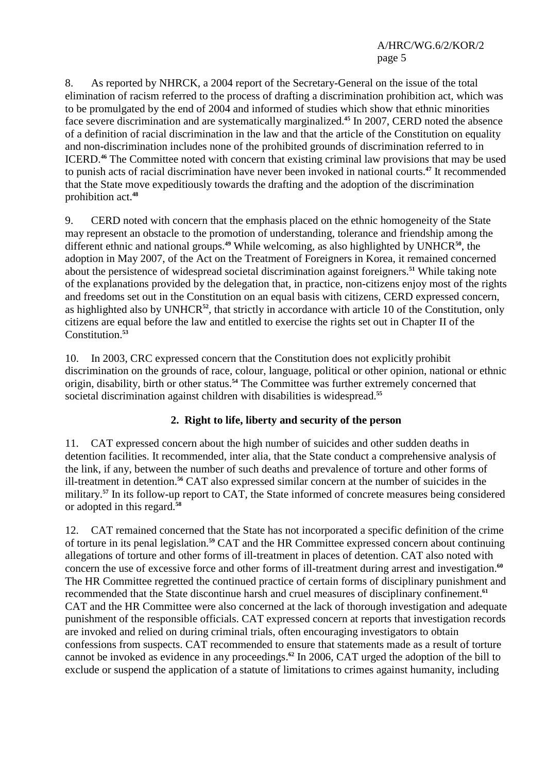8. As reported by NHRCK, a 2004 report of the Secretary-General on the issue of the total elimination of racism referred to the process of drafting a discrimination prohibition act, which was to be promulgated by the end of 2004 and informed of studies which show that ethnic minorities face severe discrimination and are systematically marginalized.**<sup>45</sup>** In 2007, CERD noted the absence of a definition of racial discrimination in the law and that the article of the Constitution on equality and non-discrimination includes none of the prohibited grounds of discrimination referred to in ICERD.**<sup>46</sup>** The Committee noted with concern that existing criminal law provisions that may be used to punish acts of racial discrimination have never been invoked in national courts.**<sup>47</sup>** It recommended that the State move expeditiously towards the drafting and the adoption of the discrimination prohibition act.**<sup>48</sup>**

9. CERD noted with concern that the emphasis placed on the ethnic homogeneity of the State may represent an obstacle to the promotion of understanding, tolerance and friendship among the different ethnic and national groups.**<sup>49</sup>** While welcoming, as also highlighted by UNHCR**<sup>50</sup>**, the adoption in May 2007, of the Act on the Treatment of Foreigners in Korea, it remained concerned about the persistence of widespread societal discrimination against foreigners.**<sup>51</sup>** While taking note of the explanations provided by the delegation that, in practice, non-citizens enjoy most of the rights and freedoms set out in the Constitution on an equal basis with citizens, CERD expressed concern, as highlighted also by UNHCR**<sup>52</sup>**, that strictly in accordance with article 10 of the Constitution, only citizens are equal before the law and entitled to exercise the rights set out in Chapter II of the Constitution.**<sup>53</sup>**

10. In 2003, CRC expressed concern that the Constitution does not explicitly prohibit discrimination on the grounds of race, colour, language, political or other opinion, national or ethnic origin, disability, birth or other status.**<sup>54</sup>** The Committee was further extremely concerned that societal discrimination against children with disabilities is widespread.**<sup>55</sup>**

# **2. Right to life, liberty and security of the person**

11. CAT expressed concern about the high number of suicides and other sudden deaths in detention facilities. It recommended, inter alia, that the State conduct a comprehensive analysis of the link, if any, between the number of such deaths and prevalence of torture and other forms of ill-treatment in detention.**<sup>56</sup>** CAT also expressed similar concern at the number of suicides in the military.<sup>57</sup> In its follow-up report to CAT, the State informed of concrete measures being considered or adopted in this regard.**<sup>58</sup>**

12. CAT remained concerned that the State has not incorporated a specific definition of the crime of torture in its penal legislation.**<sup>59</sup>** CAT and the HR Committee expressed concern about continuing allegations of torture and other forms of ill-treatment in places of detention. CAT also noted with concern the use of excessive force and other forms of ill-treatment during arrest and investigation.**<sup>60</sup>** The HR Committee regretted the continued practice of certain forms of disciplinary punishment and recommended that the State discontinue harsh and cruel measures of disciplinary confinement.**<sup>61</sup>** CAT and the HR Committee were also concerned at the lack of thorough investigation and adequate punishment of the responsible officials. CAT expressed concern at reports that investigation records are invoked and relied on during criminal trials, often encouraging investigators to obtain confessions from suspects. CAT recommended to ensure that statements made as a result of torture cannot be invoked as evidence in any proceedings.**<sup>62</sup>** In 2006, CAT urged the adoption of the bill to exclude or suspend the application of a statute of limitations to crimes against humanity, including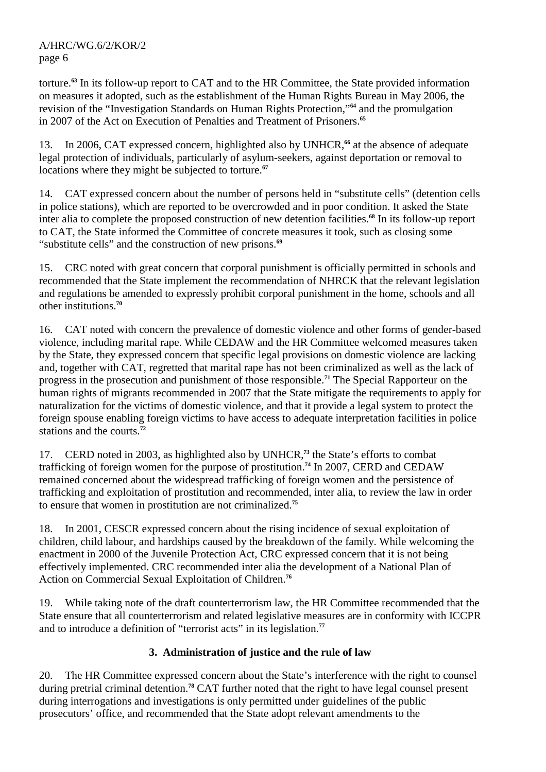torture.**<sup>63</sup>** In its follow-up report to CAT and to the HR Committee, the State provided information on measures it adopted, such as the establishment of the Human Rights Bureau in May 2006, the revision of the "Investigation Standards on Human Rights Protection,"**<sup>64</sup>** and the promulgation in 2007 of the Act on Execution of Penalties and Treatment of Prisoners.**<sup>65</sup>**

13. In 2006, CAT expressed concern, highlighted also by UNHCR,**<sup>66</sup>** at the absence of adequate legal protection of individuals, particularly of asylum-seekers, against deportation or removal to locations where they might be subjected to torture.**<sup>67</sup>**

14. CAT expressed concern about the number of persons held in "substitute cells" (detention cells in police stations), which are reported to be overcrowded and in poor condition. It asked the State inter alia to complete the proposed construction of new detention facilities.**<sup>68</sup>** In its follow-up report to CAT, the State informed the Committee of concrete measures it took, such as closing some "substitute cells" and the construction of new prisons.**<sup>69</sup>**

15. CRC noted with great concern that corporal punishment is officially permitted in schools and recommended that the State implement the recommendation of NHRCK that the relevant legislation and regulations be amended to expressly prohibit corporal punishment in the home, schools and all other institutions.**<sup>70</sup>**

16. CAT noted with concern the prevalence of domestic violence and other forms of gender-based violence, including marital rape. While CEDAW and the HR Committee welcomed measures taken by the State, they expressed concern that specific legal provisions on domestic violence are lacking and, together with CAT, regretted that marital rape has not been criminalized as well as the lack of progress in the prosecution and punishment of those responsible.**<sup>71</sup>** The Special Rapporteur on the human rights of migrants recommended in 2007 that the State mitigate the requirements to apply for naturalization for the victims of domestic violence, and that it provide a legal system to protect the foreign spouse enabling foreign victims to have access to adequate interpretation facilities in police stations and the courts.**<sup>72</sup>**

17. CERD noted in 2003, as highlighted also by UNHCR,**<sup>73</sup>** the State's efforts to combat trafficking of foreign women for the purpose of prostitution.**<sup>74</sup>** In 2007, CERD and CEDAW remained concerned about the widespread trafficking of foreign women and the persistence of trafficking and exploitation of prostitution and recommended, inter alia, to review the law in order to ensure that women in prostitution are not criminalized.**<sup>75</sup>**

18. In 2001, CESCR expressed concern about the rising incidence of sexual exploitation of children, child labour, and hardships caused by the breakdown of the family. While welcoming the enactment in 2000 of the Juvenile Protection Act, CRC expressed concern that it is not being effectively implemented. CRC recommended inter alia the development of a National Plan of Action on Commercial Sexual Exploitation of Children.**<sup>76</sup>**

19. While taking note of the draft counterterrorism law, the HR Committee recommended that the State ensure that all counterterrorism and related legislative measures are in conformity with ICCPR and to introduce a definition of "terrorist acts" in its legislation.**<sup>77</sup>**

# **3. Administration of justice and the rule of law**

20. The HR Committee expressed concern about the State's interference with the right to counsel during pretrial criminal detention.**<sup>78</sup>** CAT further noted that the right to have legal counsel present during interrogations and investigations is only permitted under guidelines of the public prosecutors' office, and recommended that the State adopt relevant amendments to the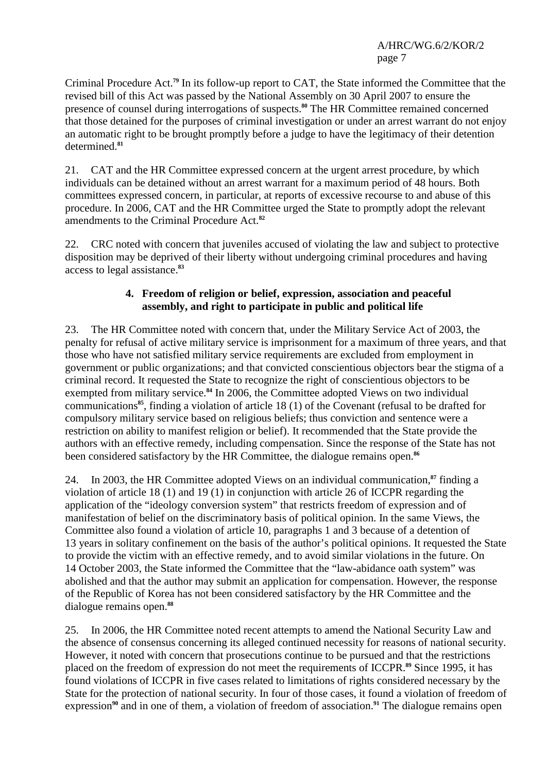Criminal Procedure Act.**<sup>79</sup>** In its follow-up report to CAT, the State informed the Committee that the revised bill of this Act was passed by the National Assembly on 30 April 2007 to ensure the presence of counsel during interrogations of suspects.**<sup>80</sup>** The HR Committee remained concerned that those detained for the purposes of criminal investigation or under an arrest warrant do not enjoy an automatic right to be brought promptly before a judge to have the legitimacy of their detention determined.**<sup>81</sup>**

21. CAT and the HR Committee expressed concern at the urgent arrest procedure, by which individuals can be detained without an arrest warrant for a maximum period of 48 hours. Both committees expressed concern, in particular, at reports of excessive recourse to and abuse of this procedure. In 2006, CAT and the HR Committee urged the State to promptly adopt the relevant amendments to the Criminal Procedure Act.**<sup>82</sup>**

22. CRC noted with concern that juveniles accused of violating the law and subject to protective disposition may be deprived of their liberty without undergoing criminal procedures and having access to legal assistance.**<sup>83</sup>**

## **4. Freedom of religion or belief, expression, association and peaceful assembly, and right to participate in public and political life**

23. The HR Committee noted with concern that, under the Military Service Act of 2003, the penalty for refusal of active military service is imprisonment for a maximum of three years, and that those who have not satisfied military service requirements are excluded from employment in government or public organizations; and that convicted conscientious objectors bear the stigma of a criminal record. It requested the State to recognize the right of conscientious objectors to be exempted from military service.**<sup>84</sup>** In 2006, the Committee adopted Views on two individual communications**<sup>85</sup>**, finding a violation of article 18 (1) of the Covenant (refusal to be drafted for compulsory military service based on religious beliefs; thus conviction and sentence were a restriction on ability to manifest religion or belief). It recommended that the State provide the authors with an effective remedy, including compensation. Since the response of the State has not been considered satisfactory by the HR Committee, the dialogue remains open.**<sup>86</sup>**

24. In 2003, the HR Committee adopted Views on an individual communication,**<sup>87</sup>** finding a violation of article 18 (1) and 19 (1) in conjunction with article 26 of ICCPR regarding the application of the "ideology conversion system" that restricts freedom of expression and of manifestation of belief on the discriminatory basis of political opinion. In the same Views, the Committee also found a violation of article 10, paragraphs 1 and 3 because of a detention of 13 years in solitary confinement on the basis of the author's political opinions. It requested the State to provide the victim with an effective remedy, and to avoid similar violations in the future. On 14 October 2003, the State informed the Committee that the "law-abidance oath system" was abolished and that the author may submit an application for compensation. However, the response of the Republic of Korea has not been considered satisfactory by the HR Committee and the dialogue remains open.**<sup>88</sup>**

25. In 2006, the HR Committee noted recent attempts to amend the National Security Law and the absence of consensus concerning its alleged continued necessity for reasons of national security. However, it noted with concern that prosecutions continue to be pursued and that the restrictions placed on the freedom of expression do not meet the requirements of ICCPR.**<sup>89</sup>** Since 1995, it has found violations of ICCPR in five cases related to limitations of rights considered necessary by the State for the protection of national security. In four of those cases, it found a violation of freedom of expression**90** and in one of them, a violation of freedom of association.**91** The dialogue remains open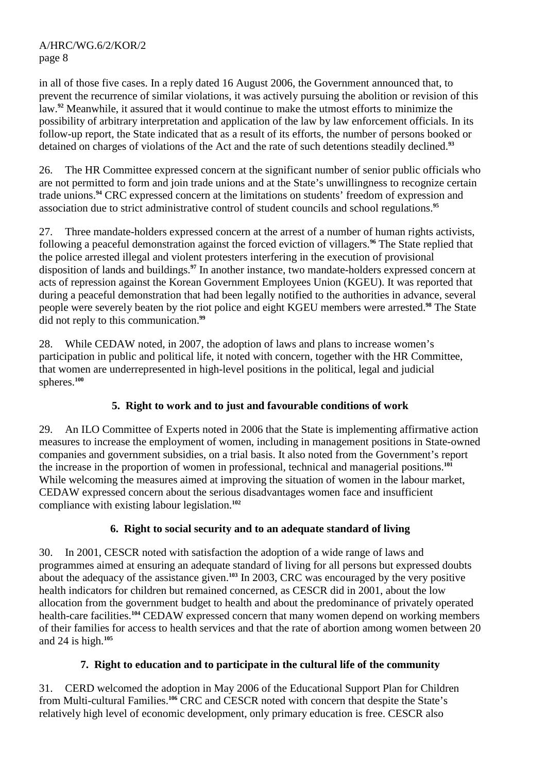in all of those five cases. In a reply dated 16 August 2006, the Government announced that, to prevent the recurrence of similar violations, it was actively pursuing the abolition or revision of this law.**<sup>92</sup>** Meanwhile, it assured that it would continue to make the utmost efforts to minimize the possibility of arbitrary interpretation and application of the law by law enforcement officials. In its follow-up report, the State indicated that as a result of its efforts, the number of persons booked or detained on charges of violations of the Act and the rate of such detentions steadily declined.**<sup>93</sup>**

26. The HR Committee expressed concern at the significant number of senior public officials who are not permitted to form and join trade unions and at the State's unwillingness to recognize certain trade unions.**<sup>94</sup>** CRC expressed concern at the limitations on students' freedom of expression and association due to strict administrative control of student councils and school regulations.**<sup>95</sup>**

27. Three mandate-holders expressed concern at the arrest of a number of human rights activists, following a peaceful demonstration against the forced eviction of villagers.**<sup>96</sup>** The State replied that the police arrested illegal and violent protesters interfering in the execution of provisional disposition of lands and buildings.**<sup>97</sup>** In another instance, two mandate-holders expressed concern at acts of repression against the Korean Government Employees Union (KGEU). It was reported that during a peaceful demonstration that had been legally notified to the authorities in advance, several people were severely beaten by the riot police and eight KGEU members were arrested.**<sup>98</sup>** The State did not reply to this communication.**<sup>99</sup>**

28. While CEDAW noted, in 2007, the adoption of laws and plans to increase women's participation in public and political life, it noted with concern, together with the HR Committee, that women are underrepresented in high-level positions in the political, legal and judicial spheres.**<sup>100</sup>**

# **5. Right to work and to just and favourable conditions of work**

29. An ILO Committee of Experts noted in 2006 that the State is implementing affirmative action measures to increase the employment of women, including in management positions in State-owned companies and government subsidies, on a trial basis. It also noted from the Government's report the increase in the proportion of women in professional, technical and managerial positions.**<sup>101</sup>** While welcoming the measures aimed at improving the situation of women in the labour market, CEDAW expressed concern about the serious disadvantages women face and insufficient compliance with existing labour legislation.**<sup>102</sup>**

# **6. Right to social security and to an adequate standard of living**

30. In 2001, CESCR noted with satisfaction the adoption of a wide range of laws and programmes aimed at ensuring an adequate standard of living for all persons but expressed doubts about the adequacy of the assistance given.**<sup>103</sup>** In 2003, CRC was encouraged by the very positive health indicators for children but remained concerned, as CESCR did in 2001, about the low allocation from the government budget to health and about the predominance of privately operated health-care facilities.**<sup>104</sup>** CEDAW expressed concern that many women depend on working members of their families for access to health services and that the rate of abortion among women between 20 and 24 is high.**<sup>105</sup>**

# **7. Right to education and to participate in the cultural life of the community**

31. CERD welcomed the adoption in May 2006 of the Educational Support Plan for Children from Multi-cultural Families.**<sup>106</sup>** CRC and CESCR noted with concern that despite the State's relatively high level of economic development, only primary education is free. CESCR also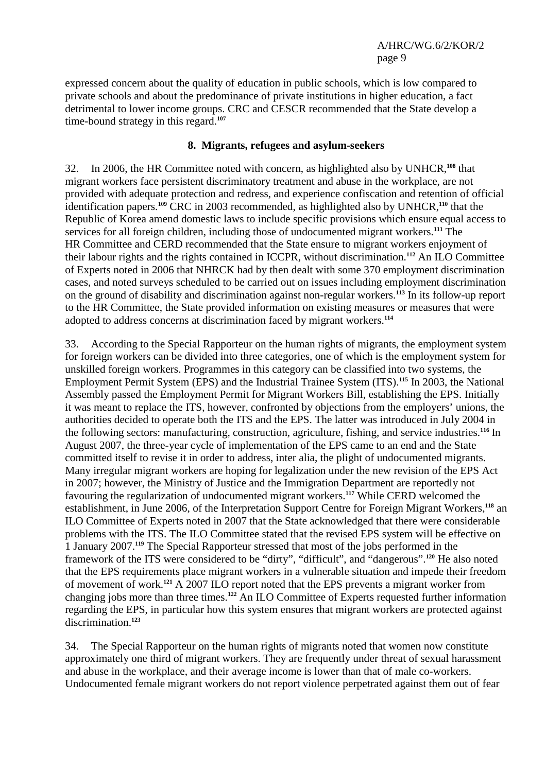expressed concern about the quality of education in public schools, which is low compared to private schools and about the predominance of private institutions in higher education, a fact detrimental to lower income groups. CRC and CESCR recommended that the State develop a time-bound strategy in this regard.**<sup>107</sup>**

#### **8. Migrants, refugees and asylum-seekers**

32. In 2006, the HR Committee noted with concern, as highlighted also by UNHCR,**<sup>108</sup>** that migrant workers face persistent discriminatory treatment and abuse in the workplace, are not provided with adequate protection and redress, and experience confiscation and retention of official identification papers.**<sup>109</sup>** CRC in 2003 recommended, as highlighted also by UNHCR,**<sup>110</sup>** that the Republic of Korea amend domestic laws to include specific provisions which ensure equal access to services for all foreign children, including those of undocumented migrant workers.**<sup>111</sup>** The HR Committee and CERD recommended that the State ensure to migrant workers enjoyment of their labour rights and the rights contained in ICCPR, without discrimination.**<sup>112</sup>** An ILO Committee of Experts noted in 2006 that NHRCK had by then dealt with some 370 employment discrimination cases, and noted surveys scheduled to be carried out on issues including employment discrimination on the ground of disability and discrimination against non-regular workers.**<sup>113</sup>** In its follow-up report to the HR Committee, the State provided information on existing measures or measures that were adopted to address concerns at discrimination faced by migrant workers.**<sup>114</sup>**

33. According to the Special Rapporteur on the human rights of migrants, the employment system for foreign workers can be divided into three categories, one of which is the employment system for unskilled foreign workers. Programmes in this category can be classified into two systems, the Employment Permit System (EPS) and the Industrial Trainee System (ITS).**<sup>115</sup>** In 2003, the National Assembly passed the Employment Permit for Migrant Workers Bill, establishing the EPS. Initially it was meant to replace the ITS, however, confronted by objections from the employers' unions, the authorities decided to operate both the ITS and the EPS. The latter was introduced in July 2004 in the following sectors: manufacturing, construction, agriculture, fishing, and service industries.**<sup>116</sup>** In August 2007, the three-year cycle of implementation of the EPS came to an end and the State committed itself to revise it in order to address, inter alia, the plight of undocumented migrants. Many irregular migrant workers are hoping for legalization under the new revision of the EPS Act in 2007; however, the Ministry of Justice and the Immigration Department are reportedly not favouring the regularization of undocumented migrant workers.**<sup>117</sup>** While CERD welcomed the establishment, in June 2006, of the Interpretation Support Centre for Foreign Migrant Workers,**<sup>118</sup>** an ILO Committee of Experts noted in 2007 that the State acknowledged that there were considerable problems with the ITS. The ILO Committee stated that the revised EPS system will be effective on 1 January 2007.**<sup>119</sup>** The Special Rapporteur stressed that most of the jobs performed in the framework of the ITS were considered to be "dirty", "difficult", and "dangerous".**<sup>120</sup>** He also noted that the EPS requirements place migrant workers in a vulnerable situation and impede their freedom of movement of work.**<sup>121</sup>** A 2007 ILO report noted that the EPS prevents a migrant worker from changing jobs more than three times.**<sup>122</sup>** An ILO Committee of Experts requested further information regarding the EPS, in particular how this system ensures that migrant workers are protected against discrimination.**<sup>123</sup>**

34. The Special Rapporteur on the human rights of migrants noted that women now constitute approximately one third of migrant workers. They are frequently under threat of sexual harassment and abuse in the workplace, and their average income is lower than that of male co-workers. Undocumented female migrant workers do not report violence perpetrated against them out of fear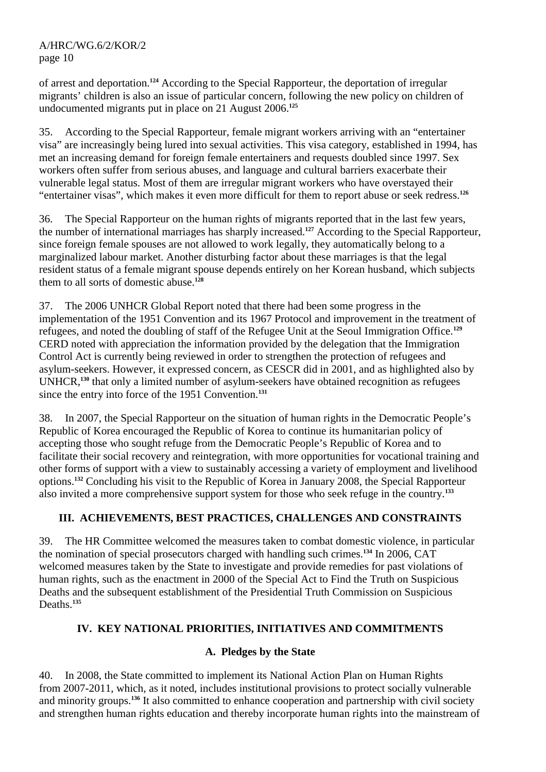of arrest and deportation.**<sup>124</sup>** According to the Special Rapporteur, the deportation of irregular migrants' children is also an issue of particular concern, following the new policy on children of undocumented migrants put in place on 21 August 2006.**<sup>125</sup>**

35. According to the Special Rapporteur, female migrant workers arriving with an "entertainer visa" are increasingly being lured into sexual activities. This visa category, established in 1994, has met an increasing demand for foreign female entertainers and requests doubled since 1997. Sex workers often suffer from serious abuses, and language and cultural barriers exacerbate their vulnerable legal status. Most of them are irregular migrant workers who have overstayed their "entertainer visas", which makes it even more difficult for them to report abuse or seek redress.**<sup>126</sup>**

36. The Special Rapporteur on the human rights of migrants reported that in the last few years, the number of international marriages has sharply increased.**<sup>127</sup>** According to the Special Rapporteur, since foreign female spouses are not allowed to work legally, they automatically belong to a marginalized labour market. Another disturbing factor about these marriages is that the legal resident status of a female migrant spouse depends entirely on her Korean husband, which subjects them to all sorts of domestic abuse.**<sup>128</sup>**

37. The 2006 UNHCR Global Report noted that there had been some progress in the implementation of the 1951 Convention and its 1967 Protocol and improvement in the treatment of refugees, and noted the doubling of staff of the Refugee Unit at the Seoul Immigration Office.**<sup>129</sup>** CERD noted with appreciation the information provided by the delegation that the Immigration Control Act is currently being reviewed in order to strengthen the protection of refugees and asylum-seekers. However, it expressed concern, as CESCR did in 2001, and as highlighted also by UNHCR,**<sup>130</sup>** that only a limited number of asylum-seekers have obtained recognition as refugees since the entry into force of the 1951 Convention.**<sup>131</sup>**

38. In 2007, the Special Rapporteur on the situation of human rights in the Democratic People's Republic of Korea encouraged the Republic of Korea to continue its humanitarian policy of accepting those who sought refuge from the Democratic People's Republic of Korea and to facilitate their social recovery and reintegration, with more opportunities for vocational training and other forms of support with a view to sustainably accessing a variety of employment and livelihood options.**<sup>132</sup>** Concluding his visit to the Republic of Korea in January 2008, the Special Rapporteur also invited a more comprehensive support system for those who seek refuge in the country.**<sup>133</sup>**

# **III. ACHIEVEMENTS, BEST PRACTICES, CHALLENGES AND CONSTRAINTS**

39. The HR Committee welcomed the measures taken to combat domestic violence, in particular the nomination of special prosecutors charged with handling such crimes.**<sup>134</sup>** In 2006, CAT welcomed measures taken by the State to investigate and provide remedies for past violations of human rights, such as the enactment in 2000 of the Special Act to Find the Truth on Suspicious Deaths and the subsequent establishment of the Presidential Truth Commission on Suspicious Deaths.**<sup>135</sup>**

# **IV. KEY NATIONAL PRIORITIES, INITIATIVES AND COMMITMENTS**

#### **A. Pledges by the State**

40. In 2008, the State committed to implement its National Action Plan on Human Rights from 2007-2011, which, as it noted, includes institutional provisions to protect socially vulnerable and minority groups.**<sup>136</sup>** It also committed to enhance cooperation and partnership with civil society and strengthen human rights education and thereby incorporate human rights into the mainstream of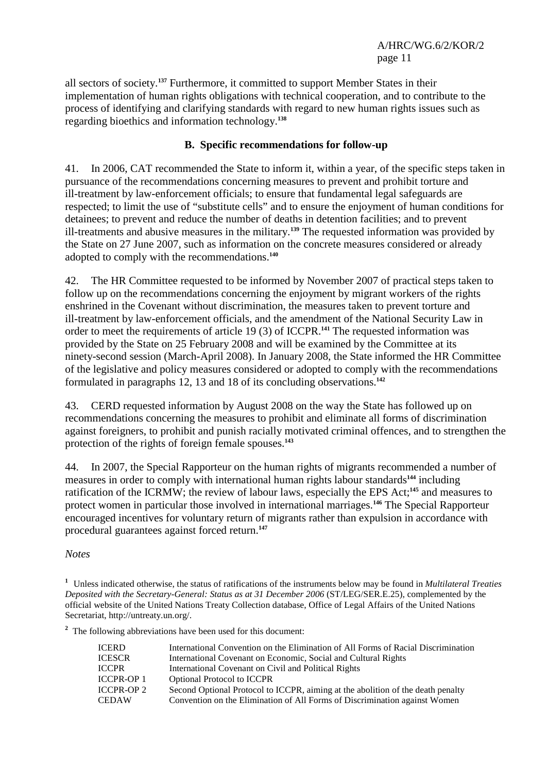all sectors of society.**<sup>137</sup>** Furthermore, it committed to support Member States in their implementation of human rights obligations with technical cooperation, and to contribute to the process of identifying and clarifying standards with regard to new human rights issues such as regarding bioethics and information technology.**<sup>138</sup>**

## **B. Specific recommendations for follow-up**

41. In 2006, CAT recommended the State to inform it, within a year, of the specific steps taken in pursuance of the recommendations concerning measures to prevent and prohibit torture and ill-treatment by law-enforcement officials; to ensure that fundamental legal safeguards are respected; to limit the use of "substitute cells" and to ensure the enjoyment of human conditions for detainees; to prevent and reduce the number of deaths in detention facilities; and to prevent ill-treatments and abusive measures in the military.**<sup>139</sup>** The requested information was provided by the State on 27 June 2007, such as information on the concrete measures considered or already adopted to comply with the recommendations.**<sup>140</sup>**

42. The HR Committee requested to be informed by November 2007 of practical steps taken to follow up on the recommendations concerning the enjoyment by migrant workers of the rights enshrined in the Covenant without discrimination, the measures taken to prevent torture and ill-treatment by law-enforcement officials, and the amendment of the National Security Law in order to meet the requirements of article 19 (3) of ICCPR.**<sup>141</sup>** The requested information was provided by the State on 25 February 2008 and will be examined by the Committee at its ninety-second session (March-April 2008). In January 2008, the State informed the HR Committee of the legislative and policy measures considered or adopted to comply with the recommendations formulated in paragraphs 12, 13 and 18 of its concluding observations.**<sup>142</sup>**

43. CERD requested information by August 2008 on the way the State has followed up on recommendations concerning the measures to prohibit and eliminate all forms of discrimination against foreigners, to prohibit and punish racially motivated criminal offences, and to strengthen the protection of the rights of foreign female spouses.**<sup>143</sup>**

44. In 2007, the Special Rapporteur on the human rights of migrants recommended a number of measures in order to comply with international human rights labour standards**<sup>144</sup>** including ratification of the ICRMW; the review of labour laws, especially the EPS Act;**<sup>145</sup>** and measures to protect women in particular those involved in international marriages.**<sup>146</sup>** The Special Rapporteur encouraged incentives for voluntary return of migrants rather than expulsion in accordance with procedural guarantees against forced return.**<sup>147</sup>**

*Notes* 

**1** Unless indicated otherwise, the status of ratifications of the instruments below may be found in *Multilateral Treaties Deposited with the Secretary-General: Status as at 31 December 2006* (ST/LEG/SER.E.25), complemented by the official website of the United Nations Treaty Collection database, Office of Legal Affairs of the United Nations Secretariat, http://untreaty.un.org/.

<sup>2</sup> The following abbreviations have been used for this document:

| <b>ICERD</b>      | International Convention on the Elimination of All Forms of Racial Discrimination |
|-------------------|-----------------------------------------------------------------------------------|
| <b>ICESCR</b>     | International Covenant on Economic, Social and Cultural Rights                    |
| <b>ICCPR</b>      | International Covenant on Civil and Political Rights                              |
| <b>ICCPR-OP 1</b> | <b>Optional Protocol to ICCPR</b>                                                 |
| <b>ICCPR-OP 2</b> | Second Optional Protocol to ICCPR, aiming at the abolition of the death penalty   |
| <b>CEDAW</b>      | Convention on the Elimination of All Forms of Discrimination against Women        |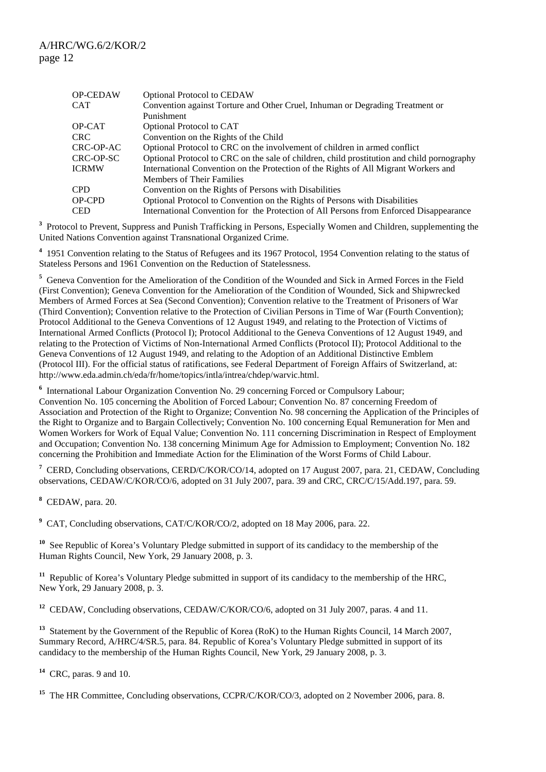| <b>Optional Protocol to CEDAW</b>                                                          |
|--------------------------------------------------------------------------------------------|
| Convention against Torture and Other Cruel, Inhuman or Degrading Treatment or              |
| Punishment                                                                                 |
| Optional Protocol to CAT                                                                   |
| Convention on the Rights of the Child                                                      |
| Optional Protocol to CRC on the involvement of children in armed conflict                  |
| Optional Protocol to CRC on the sale of children, child prostitution and child pornography |
| International Convention on the Protection of the Rights of All Migrant Workers and        |
| Members of Their Families                                                                  |
| Convention on the Rights of Persons with Disabilities                                      |
| Optional Protocol to Convention on the Rights of Persons with Disabilities                 |
| International Convention for the Protection of All Persons from Enforced Disappearance     |
|                                                                                            |

<sup>3</sup> Protocol to Prevent, Suppress and Punish Trafficking in Persons, Especially Women and Children, supplementing the United Nations Convention against Transnational Organized Crime.

<sup>4</sup> 1951 Convention relating to the Status of Refugees and its 1967 Protocol, 1954 Convention relating to the status of Stateless Persons and 1961 Convention on the Reduction of Statelessness.

**5** Geneva Convention for the Amelioration of the Condition of the Wounded and Sick in Armed Forces in the Field (First Convention); Geneva Convention for the Amelioration of the Condition of Wounded, Sick and Shipwrecked Members of Armed Forces at Sea (Second Convention); Convention relative to the Treatment of Prisoners of War (Third Convention); Convention relative to the Protection of Civilian Persons in Time of War (Fourth Convention); Protocol Additional to the Geneva Conventions of 12 August 1949, and relating to the Protection of Victims of International Armed Conflicts (Protocol I); Protocol Additional to the Geneva Conventions of 12 August 1949, and relating to the Protection of Victims of Non-International Armed Conflicts (Protocol II); Protocol Additional to the Geneva Conventions of 12 August 1949, and relating to the Adoption of an Additional Distinctive Emblem (Protocol III). For the official status of ratifications, see Federal Department of Foreign Affairs of Switzerland, at: http://www.eda.admin.ch/eda/fr/home/topics/intla/intrea/chdep/warvic.html.

<sup>6</sup> International Labour Organization Convention No. 29 concerning Forced or Compulsory Labour; Convention No. 105 concerning the Abolition of Forced Labour; Convention No. 87 concerning Freedom of Association and Protection of the Right to Organize; Convention No. 98 concerning the Application of the Principles of the Right to Organize and to Bargain Collectively; Convention No. 100 concerning Equal Remuneration for Men and Women Workers for Work of Equal Value; Convention No. 111 concerning Discrimination in Respect of Employment and Occupation; Convention No. 138 concerning Minimum Age for Admission to Employment; Convention No. 182 concerning the Prohibition and Immediate Action for the Elimination of the Worst Forms of Child Labour.

<sup>7</sup> CERD, Concluding observations, CERD/C/KOR/CO/14, adopted on 17 August 2007, para. 21, CEDAW, Concluding observations, CEDAW/C/KOR/CO/6, adopted on 31 July 2007, para. 39 and CRC, CRC/C/15/Add.197, para. 59.

**8** CEDAW, para. 20.

**9** CAT, Concluding observations, CAT/C/KOR/CO/2, adopted on 18 May 2006, para. 22.

**<sup>10</sup>** See Republic of Korea's Voluntary Pledge submitted in support of its candidacy to the membership of the Human Rights Council, New York, 29 January 2008, p. 3.

<sup>11</sup> Republic of Korea's Voluntary Pledge submitted in support of its candidacy to the membership of the HRC, New York, 29 January 2008, p. 3.

<sup>12</sup> CEDAW, Concluding observations, CEDAW/C/KOR/CO/6, adopted on 31 July 2007, paras. 4 and 11.

<sup>13</sup> Statement by the Government of the Republic of Korea (RoK) to the Human Rights Council, 14 March 2007, Summary Record, A/HRC/4/SR.5, para. 84. Republic of Korea's Voluntary Pledge submitted in support of its candidacy to the membership of the Human Rights Council, New York, 29 January 2008, p. 3.

**<sup>14</sup>** CRC, paras. 9 and 10.

<sup>15</sup> The HR Committee, Concluding observations, CCPR/C/KOR/CO/3, adopted on 2 November 2006, para. 8.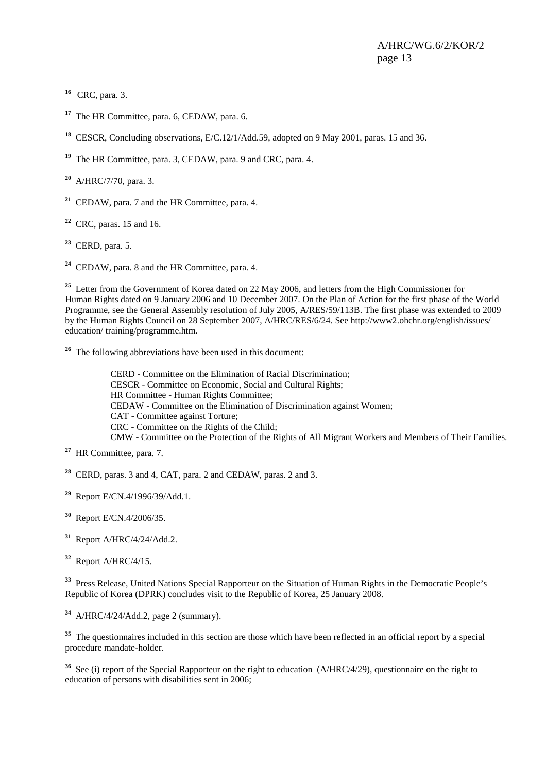<sup>16</sup> CRC, para. 3.

**<sup>17</sup>** The HR Committee, para. 6, CEDAW, para. 6.

**<sup>18</sup>** CESCR, Concluding observations, E/C.12/1/Add.59, adopted on 9 May 2001, paras. 15 and 36.

**<sup>19</sup>** The HR Committee, para. 3, CEDAW, para. 9 and CRC, para. 4.

**<sup>20</sup>** A/HRC/7/70, para. 3.

**<sup>21</sup>** CEDAW, para. 7 and the HR Committee, para. 4.

**<sup>22</sup>** CRC, paras. 15 and 16.

**<sup>23</sup>** CERD, para. 5.

**<sup>24</sup>** CEDAW, para. 8 and the HR Committee, para. 4.

<sup>25</sup> Letter from the Government of Korea dated on 22 May 2006, and letters from the High Commissioner for Human Rights dated on 9 January 2006 and 10 December 2007. On the Plan of Action for the first phase of the World Programme, see the General Assembly resolution of July 2005, A/RES/59/113B. The first phase was extended to 2009 by the Human Rights Council on 28 September 2007, A/HRC/RES/6/24. See http://www2.ohchr.org/english/issues/ education/ training/programme.htm.

**<sup>26</sup>** The following abbreviations have been used in this document:

CERD - Committee on the Elimination of Racial Discrimination; CESCR - Committee on Economic, Social and Cultural Rights; HR Committee - Human Rights Committee; CEDAW - Committee on the Elimination of Discrimination against Women; CAT - Committee against Torture; CRC - Committee on the Rights of the Child; CMW - Committee on the Protection of the Rights of All Migrant Workers and Members of Their Families.

**<sup>28</sup>** CERD, paras. 3 and 4, CAT, para. 2 and CEDAW, paras. 2 and 3.

**<sup>29</sup>** Report E/CN.4/1996/39/Add.1.

**<sup>30</sup>** Report E/CN.4/2006/35.

**<sup>31</sup>** Report A/HRC/4/24/Add.2.

**<sup>32</sup>** Report A/HRC/4/15.

<sup>33</sup> Press Release, United Nations Special Rapporteur on the Situation of Human Rights in the Democratic People's Republic of Korea (DPRK) concludes visit to the Republic of Korea, 25 January 2008.

**<sup>34</sup>** A/HRC/4/24/Add.2, page 2 (summary).

<sup>35</sup> The questionnaires included in this section are those which have been reflected in an official report by a special procedure mandate-holder.

<sup>36</sup> See (i) report of the Special Rapporteur on the right to education (A/HRC/4/29), questionnaire on the right to education of persons with disabilities sent in 2006;

**<sup>27</sup>** HR Committee, para. 7.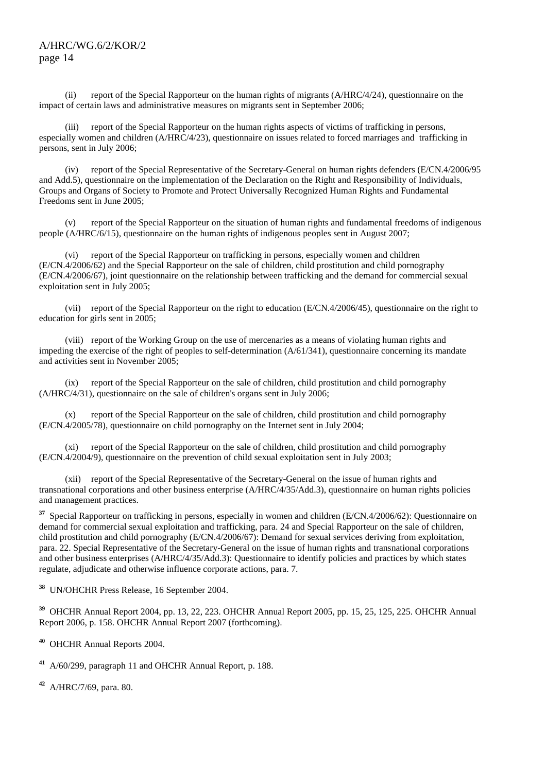(ii) report of the Special Rapporteur on the human rights of migrants (A/HRC/4/24), questionnaire on the impact of certain laws and administrative measures on migrants sent in September 2006;

 (iii) report of the Special Rapporteur on the human rights aspects of victims of trafficking in persons, especially women and children (A/HRC/4/23), questionnaire on issues related to forced marriages and trafficking in persons, sent in July 2006;

 (iv) report of the Special Representative of the Secretary-General on human rights defenders (E/CN.4/2006/95 and Add.5), questionnaire on the implementation of the Declaration on the Right and Responsibility of Individuals, Groups and Organs of Society to Promote and Protect Universally Recognized Human Rights and Fundamental Freedoms sent in June 2005;

 (v) report of the Special Rapporteur on the situation of human rights and fundamental freedoms of indigenous people (A/HRC/6/15), questionnaire on the human rights of indigenous peoples sent in August 2007;

 (vi) report of the Special Rapporteur on trafficking in persons, especially women and children (E/CN.4/2006/62) and the Special Rapporteur on the sale of children, child prostitution and child pornography (E/CN.4/2006/67), joint questionnaire on the relationship between trafficking and the demand for commercial sexual exploitation sent in July 2005;

 (vii) report of the Special Rapporteur on the right to education (E/CN.4/2006/45), questionnaire on the right to education for girls sent in 2005;

 (viii) report of the Working Group on the use of mercenaries as a means of violating human rights and impeding the exercise of the right of peoples to self-determination (A/61/341), questionnaire concerning its mandate and activities sent in November 2005;

 (ix) report of the Special Rapporteur on the sale of children, child prostitution and child pornography (A/HRC/4/31), questionnaire on the sale of children's organs sent in July 2006;

 (x) report of the Special Rapporteur on the sale of children, child prostitution and child pornography (E/CN.4/2005/78), questionnaire on child pornography on the Internet sent in July 2004;

 (xi) report of the Special Rapporteur on the sale of children, child prostitution and child pornography (E/CN.4/2004/9), questionnaire on the prevention of child sexual exploitation sent in July 2003;

 (xii) report of the Special Representative of the Secretary-General on the issue of human rights and transnational corporations and other business enterprise (A/HRC/4/35/Add.3), questionnaire on human rights policies and management practices.

<sup>37</sup> Special Rapporteur on trafficking in persons, especially in women and children (E/CN.4/2006/62): Questionnaire on demand for commercial sexual exploitation and trafficking, para. 24 and Special Rapporteur on the sale of children, child prostitution and child pornography (E/CN.4/2006/67): Demand for sexual services deriving from exploitation, para. 22. Special Representative of the Secretary-General on the issue of human rights and transnational corporations and other business enterprises (A/HRC/4/35/Add.3): Questionnaire to identify policies and practices by which states regulate, adjudicate and otherwise influence corporate actions, para. 7.

**<sup>38</sup>** UN/OHCHR Press Release, 16 September 2004.

**<sup>39</sup>** OHCHR Annual Report 2004, pp. 13, 22, 223. OHCHR Annual Report 2005, pp. 15, 25, 125, 225. OHCHR Annual Report 2006, p. 158. OHCHR Annual Report 2007 (forthcoming).

**<sup>40</sup>** OHCHR Annual Reports 2004.

**<sup>41</sup>** A/60/299, paragraph 11 and OHCHR Annual Report, p. 188.

**<sup>42</sup>** A/HRC/7/69, para. 80.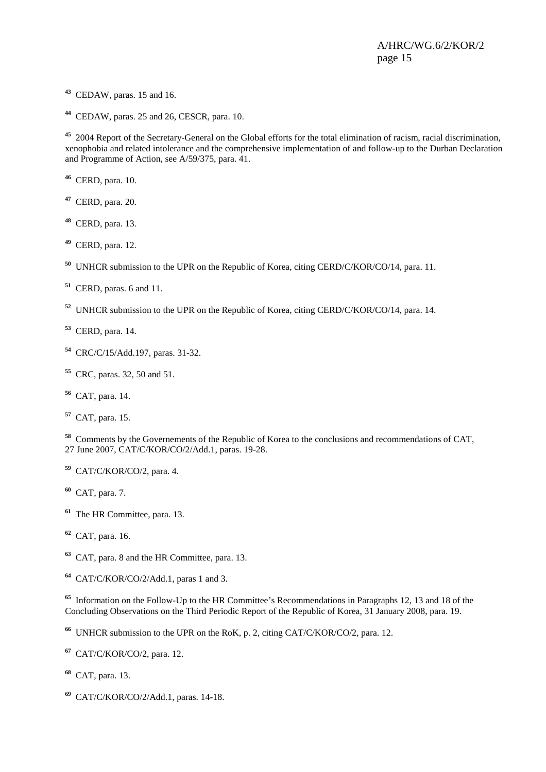- CEDAW, paras. 15 and 16.
- CEDAW, paras. 25 and 26, CESCR, para. 10.

 2004 Report of the Secretary-General on the Global efforts for the total elimination of racism, racial discrimination, xenophobia and related intolerance and the comprehensive implementation of and follow-up to the Durban Declaration and Programme of Action, see A/59/375, para. 41.

- CERD, para. 10.
- CERD, para. 20.
- CERD, para. 13.
- CERD, para. 12.
- UNHCR submission to the UPR on the Republic of Korea, citing CERD/C/KOR/CO/14, para. 11.
- CERD, paras. 6 and 11.
- UNHCR submission to the UPR on the Republic of Korea, citing CERD/C/KOR/CO/14, para. 14.
- CERD, para. 14.
- CRC/C/15/Add.197, paras. 31-32.
- CRC, paras. 32, 50 and 51.
- CAT, para. 14.
- CAT, para. 15.

 Comments by the Governements of the Republic of Korea to the conclusions and recommendations of CAT, 27 June 2007, CAT/C/KOR/CO/2/Add.1, paras. 19-28.

- CAT/C/KOR/CO/2, para. 4.
- CAT, para. 7.
- The HR Committee, para. 13.
- CAT, para. 16.
- CAT, para. 8 and the HR Committee, para. 13.
- CAT/C/KOR/CO/2/Add.1, paras 1 and 3.

 Information on the Follow-Up to the HR Committee's Recommendations in Paragraphs 12, 13 and 18 of the Concluding Observations on the Third Periodic Report of the Republic of Korea, 31 January 2008, para. 19.

UNHCR submission to the UPR on the RoK, p. 2, citing CAT/C/KOR/CO/2, para. 12.

- CAT/C/KOR/CO/2, para. 12.
- CAT, para. 13.
- CAT/C/KOR/CO/2/Add.1, paras. 14-18.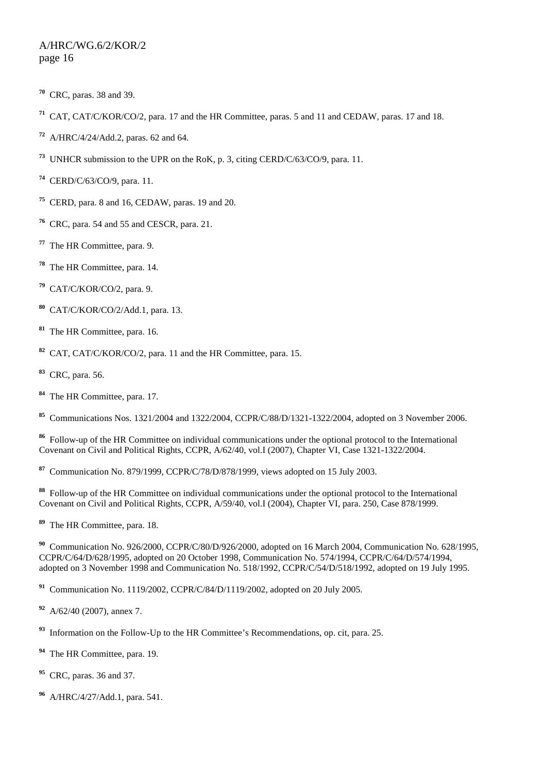- CRC, paras. 38 and 39.
- CAT, CAT/C/KOR/CO/2, para. 17 and the HR Committee, paras. 5 and 11 and CEDAW, paras. 17 and 18.
- A/HRC/4/24/Add.2, paras. 62 and 64.
- UNHCR submission to the UPR on the RoK, p. 3, citing CERD/C/63/CO/9, para. 11.
- CERD/C/63/CO/9, para. 11.
- CERD, para. 8 and 16, CEDAW, paras. 19 and 20.
- CRC, para. 54 and 55 and CESCR, para. 21.
- The HR Committee, para. 9.
- The HR Committee, para. 14.
- CAT/C/KOR/CO/2, para. 9.
- CAT/C/KOR/CO/2/Add.1, para. 13.
- The HR Committee, para. 16.
- CAT, CAT/C/KOR/CO/2, para. 11 and the HR Committee, para. 15.
- CRC, para. 56.
- The HR Committee, para. 17.

Communications Nos. 1321/2004 and 1322/2004, CCPR/C/88/D/1321-1322/2004, adopted on 3 November 2006.

 Follow-up of the HR Committee on individual communications under the optional protocol to the International Covenant on Civil and Political Rights, CCPR, A/62/40, vol.I (2007), Chapter VI, Case 1321-1322/2004.

Communication No. 879/1999, CCPR/C/78/D/878/1999, views adopted on 15 July 2003.

 Follow-up of the HR Committee on individual communications under the optional protocol to the International Covenant on Civil and Political Rights, CCPR, A/59/40, vol.I (2004), Chapter VI, para. 250, Case 878/1999.

The HR Committee, para. 18.

 Communication No. 926/2000, CCPR/C/80/D/926/2000, adopted on 16 March 2004, Communication No. 628/1995, CCPR/C/64/D/628/1995, adopted on 20 October 1998, Communication No. 574/1994, CCPR/C/64/D/574/1994, adopted on 3 November 1998 and Communication No. 518/1992, CCPR/C/54/D/518/1992, adopted on 19 July 1995.

Communication No. 1119/2002, CCPR/C/84/D/1119/2002, adopted on 20 July 2005.

- A/62/40 (2007), annex 7.
- Information on the Follow-Up to the HR Committee's Recommendations, op. cit, para. 25.
- The HR Committee, para. 19.
- CRC, paras. 36 and 37.
- A/HRC/4/27/Add.1, para. 541.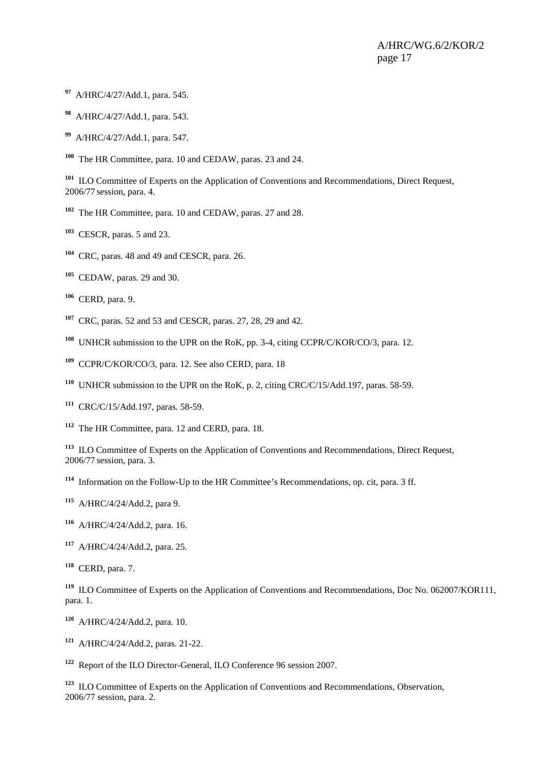- A/HRC/4/27/Add.1, para. 545.
- A/HRC/4/27/Add.1, para. 543.
- A/HRC/4/27/Add.1, para. 547.
- The HR Committee, para. 10 and CEDAW, paras. 23 and 24.

<sup>101</sup> ILO Committee of Experts on the Application of Conventions and Recommendations, Direct Request, 2006/77 session, para. 4.

- The HR Committee, para. 10 and CEDAW, paras. 27 and 28.
- CESCR, paras. 5 and 23.
- CRC, paras. 48 and 49 and CESCR, para. 26.
- CEDAW, paras. 29 and 30.
- CERD, para. 9.
- CRC, paras. 52 and 53 and CESCR, paras. 27, 28, 29 and 42.
- UNHCR submission to the UPR on the RoK, pp. 3-4, citing CCPR/C/KOR/CO/3, para. 12.
- CCPR/C/KOR/CO/3, para. 12. See also CERD, para. 18
- UNHCR submission to the UPR on the RoK, p. 2, citing CRC/C/15/Add.197, paras. 58-59.
- CRC/C/15/Add.197, paras. 58-59.
- The HR Committee, para. 12 and CERD, para. 18.

 ILO Committee of Experts on the Application of Conventions and Recommendations, Direct Request, 2006/77 session, para. 3.

Information on the Follow-Up to the HR Committee's Recommendations, op. cit, para. 3 ff.

A/HRC/4/24/Add.2, para 9.

- A/HRC/4/24/Add.2, para. 16.
- A/HRC/4/24/Add.2, para. 25.
- CERD, para. 7.

 ILO Committee of Experts on the Application of Conventions and Recommendations, Doc No. 062007/KOR111, para. 1.

- A/HRC/4/24/Add.2, para. 10.
- A/HRC/4/24/Add.2, paras. 21-22.

Report of the ILO Director-General, ILO Conference 96 session 2007.

 ILO Committee of Experts on the Application of Conventions and Recommendations, Observation, 2006/77 session, para. 2.